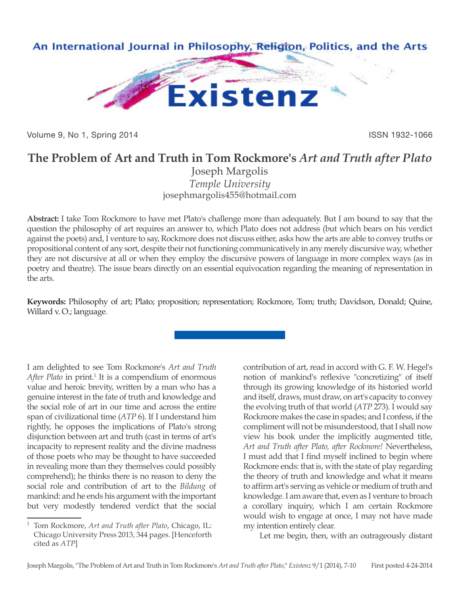

Volume 9, No 1, Spring 2014 **ISSN 1932-1066** 

## **The Problem of Art and Truth in Tom Rockmore's** *Art and Truth after Plato*

Joseph Margolis *Temple University* josephmargolis455@hotmail.com

**Abstract:** I take Tom Rockmore to have met Plato's challenge more than adequately. But I am bound to say that the question the philosophy of art requires an answer to, which Plato does not address (but which bears on his verdict against the poets) and, I venture to say, Rockmore does not discuss either, asks how the arts are able to convey truths or propositional content of any sort, despite their not functioning communicatively in any merely discursive way, whether they are not discursive at all or when they employ the discursive powers of language in more complex ways (as in poetry and theatre). The issue bears directly on an essential equivocation regarding the meaning of representation in the arts.

**Keywords:** Philosophy of art; Plato; proposition; representation; Rockmore, Tom; truth; Davidson, Donald; Quine, Willard v. O.; language.

I am delighted to see Tom Rockmore's *Art and Truth*  After Plato in print.<sup>1</sup> It is a compendium of enormous value and heroic brevity, written by a man who has a genuine interest in the fate of truth and knowledge and the social role of art in our time and across the entire span of civilizational time (*ATP* 6). If I understand him rightly, he opposes the implications of Plato's strong disjunction between art and truth (cast in terms of art's incapacity to represent reality and the divine madness of those poets who may be thought to have succeeded in revealing more than they themselves could possibly comprehend); he thinks there is no reason to deny the social role and contribution of art to the *Bildung* of mankind: and he ends his argument with the important but very modestly tendered verdict that the social

contribution of art, read in accord with G. F. W. Hegel's notion of mankind's reflexive "concretizing" of itself through its growing knowledge of its historied world and itself, draws, must draw, on art's capacity to convey the evolving truth of that world (*ATP* 273). I would say Rockmore makes the case in spades; and I confess, if the compliment will not be misunderstood, that I shall now view his book under the implicitly augmented title, *Art and Truth after Plato, after Rockmore!* Nevertheless, I must add that I find myself inclined to begin where Rockmore ends: that is, with the state of play regarding the theory of truth and knowledge and what it means to affirm art's serving as vehicle or medium of truth and knowledge. I am aware that, even as I venture to broach a corollary inquiry, which I am certain Rockmore would wish to engage at once, I may not have made my intention entirely clear.

Let me begin, then, with an outrageously distant

<sup>1</sup> Tom Rockmore, *Art and Truth after Plato*, Chicago, IL: Chicago University Press 2013, 344 pages. [Henceforth cited as *ATP*]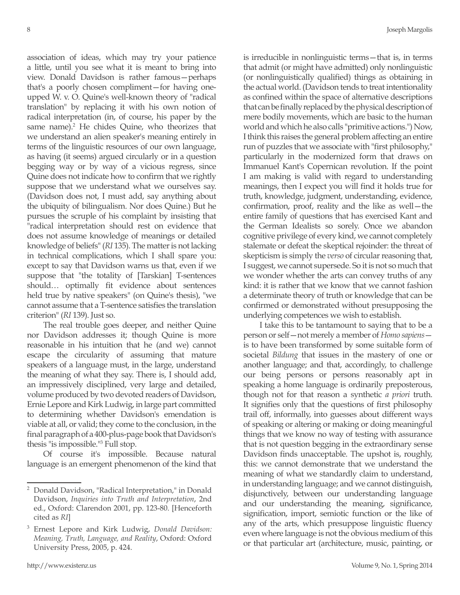association of ideas, which may try your patience a little, until you see what it is meant to bring into view. Donald Davidson is rather famous—perhaps that's a poorly chosen compliment—for having oneupped W. v. O. Quine's well-known theory of "radical translation" by replacing it with his own notion of radical interpretation (in, of course, his paper by the same name).<sup>2</sup> He chides Quine, who theorizes that we understand an alien speaker's meaning entirely in terms of the linguistic resources of our own language, as having (it seems) argued circularly or in a question begging way or by way of a vicious regress, since Quine does not indicate how to confirm that we rightly suppose that we understand what we ourselves say. (Davidson does not, I must add, say anything about the ubiquity of bilingualism. Nor does Quine.) But he pursues the scruple of his complaint by insisting that "radical interpretation should rest on evidence that does not assume knowledge of meanings or detailed knowledge of beliefs" (*RI* 135). The matter is not lacking in technical complications, which I shall spare you: except to say that Davidson warns us that, even if we suppose that "the totality of [Tarskian] T-sentences should… optimally fit evidence about sentences held true by native speakers" (on Quine's thesis), "we cannot assume that a T-sentence satisfies the translation criterion" (*RI* 139). Just so.

The real trouble goes deeper, and neither Quine nor Davidson addresses it; though Quine is more reasonable in his intuition that he (and we) cannot escape the circularity of assuming that mature speakers of a language must, in the large, understand the meaning of what they say. There is, I should add, an impressively disciplined, very large and detailed, volume produced by two devoted readers of Davidson, Ernie Lepore and Kirk Ludwig, in large part committed to determining whether Davidson's emendation is viable at all, or valid; they come to the conclusion, in the final paragraph of a 400-plus-page book that Davidson's thesis "is impossible."<sup>3</sup> Full stop.

Of course it's impossible. Because natural language is an emergent phenomenon of the kind that is irreducible in nonlinguistic terms—that is, in terms that admit (or might have admitted) only nonlinguistic (or nonlinguistically qualified) things as obtaining in the actual world. (Davidson tends to treat intentionality as confined within the space of alternative descriptions that can be finally replaced by the physical description of mere bodily movements, which are basic to the human world and which he also calls "primitive actions.") Now, I think this raises the general problem affecting an entire run of puzzles that we associate with "first philosophy," particularly in the modernized form that draws on Immanuel Kant's Copernican revolution. If the point I am making is valid with regard to understanding meanings, then I expect you will find it holds true for truth, knowledge, judgment, understanding, evidence, confirmation, proof, reality and the like as well—the entire family of questions that has exercised Kant and the German Idealists so sorely. Once we abandon cognitive privilege of every kind, we cannot completely stalemate or defeat the skeptical rejoinder: the threat of skepticism is simply the *verso* of circular reasoning that, I suggest, we cannot supersede. So it is not so much that we wonder whether the arts can convey truths of any kind: it is rather that we know that we cannot fashion a determinate theory of truth or knowledge that can be confirmed or demonstrated without presupposing the underlying competences we wish to establish.

I take this to be tantamount to saying that to be a person or self—not merely a member of *Homo sapiens* is to have been transformed by some suitable form of societal *Bildung* that issues in the mastery of one or another language; and that, accordingly, to challenge our being persons or persons reasonably apt in speaking a home language is ordinarily preposterous, though not for that reason a synthetic *a priori* truth. It signifies only that the questions of first philosophy trail off, informally, into guesses about different ways of speaking or altering or making or doing meaningful things that we know no way of testing with assurance that is not question begging in the extraordinary sense Davidson finds unacceptable. The upshot is, roughly, this: we cannot demonstrate that we understand the meaning of what we standardly claim to understand, in understanding language; and we cannot distinguish, disjunctively, between our understanding language and our understanding the meaning, significance, signification, import, semiotic function or the like of any of the arts, which presuppose linguistic fluency even where language is not the obvious medium of this or that particular art (architecture, music, painting, or

<sup>2</sup> Donald Davidson, "Radical Interpretation," in Donald Davidson, *Inquiries into Truth and Interpretation*, 2nd ed., Oxford: Clarendon 2001, pp. 123-80. [Henceforth cited as *RI*]

<sup>3</sup> Ernest Lepore and Kirk Ludwig, *Donald Davidson: Meaning, Truth, Language, and Reality*, Oxford: Oxford University Press, 2005, p. 424.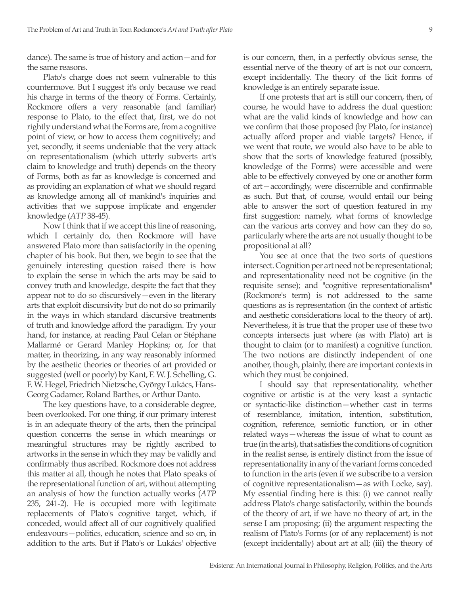dance). The same is true of history and action—and for the same reasons.

Plato's charge does not seem vulnerable to this countermove. But I suggest it's only because we read his charge in terms of the theory of Forms. Certainly, Rockmore offers a very reasonable (and familiar) response to Plato, to the effect that, first, we do not rightly understand what the Forms are, from a cognitive point of view, or how to access them cognitively; and yet, secondly, it seems undeniable that the very attack on representationalism (which utterly subverts art's claim to knowledge and truth) depends on the theory of Forms, both as far as knowledge is concerned and as providing an explanation of what we should regard as knowledge among all of mankind's inquiries and activities that we suppose implicate and engender knowledge (*ATP* 38-45).

Now I think that if we accept this line of reasoning, which I certainly do, then Rockmore will have answered Plato more than satisfactorily in the opening chapter of his book. But then, we begin to see that the genuinely interesting question raised there is how to explain the sense in which the arts may be said to convey truth and knowledge, despite the fact that they appear not to do so discursively—even in the literary arts that exploit discursivity but do not do so primarily in the ways in which standard discursive treatments of truth and knowledge afford the paradigm. Try your hand, for instance, at reading Paul Celan or Stéphane Mallarmé or Gerard Manley Hopkins; or, for that matter, in theorizing, in any way reasonably informed by the aesthetic theories or theories of art provided or suggested (well or poorly) by Kant, F. W. J. Schelling, G. F. W. Hegel, Friedrich Nietzsche, György Lukács, Hans-Georg Gadamer, Roland Barthes, or Arthur Danto.

The key questions have, to a considerable degree, been overlooked. For one thing, if our primary interest is in an adequate theory of the arts, then the principal question concerns the sense in which meanings or meaningful structures may be rightly ascribed to artworks in the sense in which they may be validly and confirmably thus ascribed. Rockmore does not address this matter at all, though he notes that Plato speaks of the representational function of art, without attempting an analysis of how the function actually works (*ATP*  235, 241-2). He is occupied more with legitimate replacements of Plato's cognitive target, which, if conceded, would affect all of our cognitively qualified endeavours—politics, education, science and so on, in addition to the arts. But if Plato's or Lukács' objective is our concern, then, in a perfectly obvious sense, the essential nerve of the theory of art is not our concern, except incidentally. The theory of the licit forms of knowledge is an entirely separate issue.

If one protests that art is still our concern, then, of course, he would have to address the dual question: what are the valid kinds of knowledge and how can we confirm that those proposed (by Plato, for instance) actually afford proper and viable targets? Hence, if we went that route, we would also have to be able to show that the sorts of knowledge featured (possibly, knowledge of the Forms) were accessible and were able to be effectively conveyed by one or another form of art—accordingly, were discernible and confirmable as such. But that, of course, would entail our being able to answer the sort of question featured in my first suggestion: namely, what forms of knowledge can the various arts convey and how can they do so, particularly where the arts are not usually thought to be propositional at all?

You see at once that the two sorts of questions intersect. Cognition per art need not be representational; and representationality need not be cognitive (in the requisite sense); and "cognitive representationalism" (Rockmore's term) is not addressed to the same questions as is representation (in the context of artistic and aesthetic considerations local to the theory of art). Nevertheless, it is true that the proper use of these two concepts intersects just where (as with Plato) art is thought to claim (or to manifest) a cognitive function. The two notions are distinctly independent of one another, though, plainly, there are important contexts in which they must be conjoined.

I should say that representationality, whether cognitive or artistic is at the very least a syntactic or syntactic-like distinction—whether cast in terms of resemblance, imitation, intention, substitution, cognition, reference, semiotic function, or in other related ways—whereas the issue of what to count as true (in the arts), that satisfies the conditions of cognition in the realist sense, is entirely distinct from the issue of representationality in any of the variant forms conceded to function in the arts (even if we subscribe to a version of cognitive representationalism—as with Locke, say). My essential finding here is this: (i) we cannot really address Plato's charge satisfactorily, within the bounds of the theory of art, if we have no theory of art, in the sense I am proposing; (ii) the argument respecting the realism of Plato's Forms (or of any replacement) is not (except incidentally) about art at all; (iii) the theory of